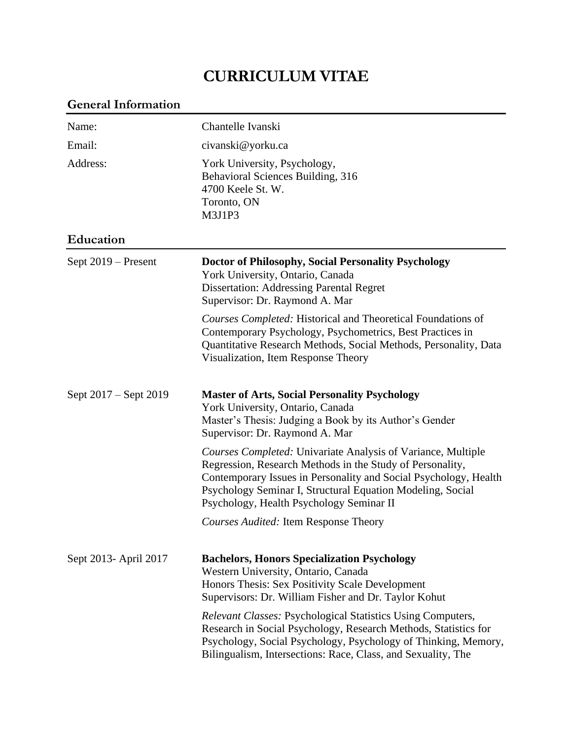# **CURRICULUM VITAE**

| <b>General Information</b> |                                                                                                                                                                                                                                                                                                                |
|----------------------------|----------------------------------------------------------------------------------------------------------------------------------------------------------------------------------------------------------------------------------------------------------------------------------------------------------------|
| Name:                      | Chantelle Ivanski                                                                                                                                                                                                                                                                                              |
| Email:                     | civanski@yorku.ca                                                                                                                                                                                                                                                                                              |
| Address:                   | York University, Psychology,<br>Behavioral Sciences Building, 316<br>4700 Keele St. W.<br>Toronto, ON<br>M3J1P3                                                                                                                                                                                                |
| Education                  |                                                                                                                                                                                                                                                                                                                |
| Sept 2019 – Present        | Doctor of Philosophy, Social Personality Psychology<br>York University, Ontario, Canada<br><b>Dissertation: Addressing Parental Regret</b><br>Supervisor: Dr. Raymond A. Mar                                                                                                                                   |
|                            | <i>Courses Completed:</i> Historical and Theoretical Foundations of<br>Contemporary Psychology, Psychometrics, Best Practices in<br>Quantitative Research Methods, Social Methods, Personality, Data<br>Visualization, Item Response Theory                                                                    |
| Sept 2017 – Sept 2019      | <b>Master of Arts, Social Personality Psychology</b><br>York University, Ontario, Canada<br>Master's Thesis: Judging a Book by its Author's Gender<br>Supervisor: Dr. Raymond A. Mar                                                                                                                           |
|                            | <b>Courses Completed: Univariate Analysis of Variance, Multiple</b><br>Regression, Research Methods in the Study of Personality,<br>Contemporary Issues in Personality and Social Psychology, Health<br>Psychology Seminar I, Structural Equation Modeling, Social<br>Psychology, Health Psychology Seminar II |
|                            | <b>Courses Audited: Item Response Theory</b>                                                                                                                                                                                                                                                                   |
| Sept 2013- April 2017      | <b>Bachelors, Honors Specialization Psychology</b><br>Western University, Ontario, Canada<br>Honors Thesis: Sex Positivity Scale Development<br>Supervisors: Dr. William Fisher and Dr. Taylor Kohut                                                                                                           |
|                            | <i>Relevant Classes: Psychological Statistics Using Computers,</i><br>Research in Social Psychology, Research Methods, Statistics for<br>Psychology, Social Psychology, Psychology of Thinking, Memory,<br>Bilingualism, Intersections: Race, Class, and Sexuality, The                                        |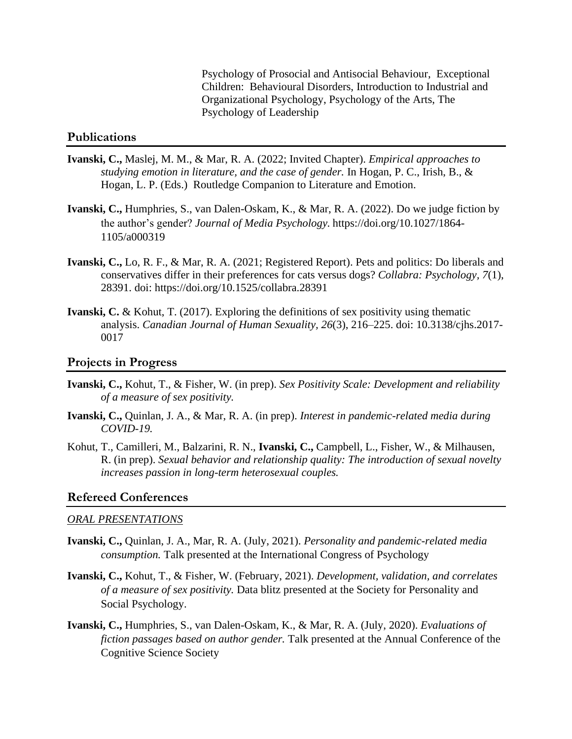Psychology of Prosocial and Antisocial Behaviour, Exceptional Children: Behavioural Disorders, Introduction to Industrial and Organizational Psychology, Psychology of the Arts, The Psychology of Leadership

### **Publications**

- **Ivanski, C.,** Maslej, M. M., & Mar, R. A. (2022; Invited Chapter). *Empirical approaches to studying emotion in literature, and the case of gender.* In Hogan, P. C., Irish, B., & Hogan, L. P. (Eds.) Routledge Companion to Literature and Emotion.
- **Ivanski, C.,** Humphries, S., van Dalen-Oskam, K., & Mar, R. A. (2022). Do we judge fiction by the author's gender? *Journal of Media Psychology.* https://doi.org/10.1027/1864- 1105/a000319
- **Ivanski, C.,** Lo, R. F., & Mar, R. A. (2021; Registered Report). Pets and politics: Do liberals and conservatives differ in their preferences for cats versus dogs? *Collabra: Psychology, 7*(1), 28391. doi: https://doi.org/10.1525/collabra.28391
- **Ivanski, C.** & Kohut, T. (2017). Exploring the definitions of sex positivity using thematic analysis. *Canadian Journal of Human Sexuality, 26*(3), 216–225. doi: 10.3138/cjhs.2017- 0017

#### **Projects in Progress**

- **Ivanski, C.,** Kohut, T., & Fisher, W. (in prep). *Sex Positivity Scale: Development and reliability of a measure of sex positivity.*
- **Ivanski, C.,** Quinlan, J. A., & Mar, R. A. (in prep). *Interest in pandemic-related media during COVID-19.*
- Kohut, T., Camilleri, M., Balzarini, R. N., **Ivanski, C.,** Campbell, L., Fisher, W., & Milhausen, R. (in prep). *Sexual behavior and relationship quality: The introduction of sexual novelty increases passion in long-term heterosexual couples.*

#### **Refereed Conferences**

### *ORAL PRESENTATIONS*

- **Ivanski, C.,** Quinlan, J. A., Mar, R. A. (July, 2021). *Personality and pandemic-related media consumption.* Talk presented at the International Congress of Psychology
- **Ivanski, C.,** Kohut, T., & Fisher, W. (February, 2021). *Development, validation, and correlates of a measure of sex positivity.* Data blitz presented at the Society for Personality and Social Psychology.
- **Ivanski, C.,** Humphries, S., van Dalen-Oskam, K., & Mar, R. A. (July, 2020). *Evaluations of fiction passages based on author gender.* Talk presented at the Annual Conference of the Cognitive Science Society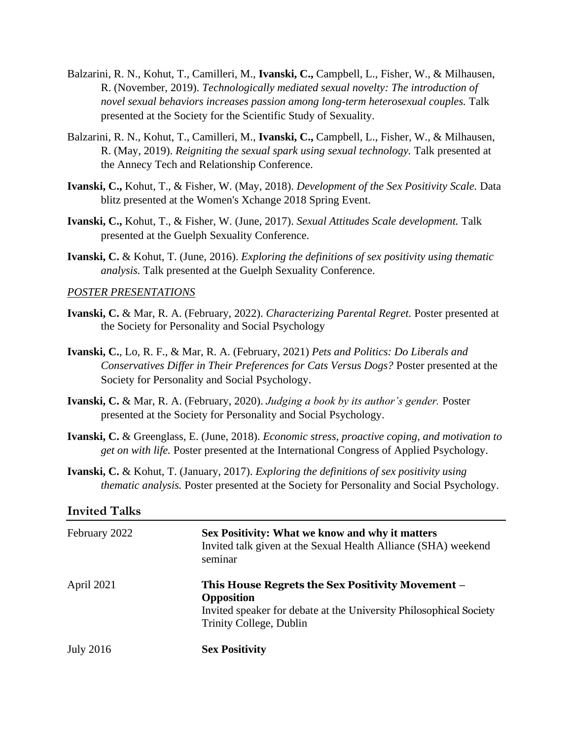- Balzarini, R. N., Kohut, T., Camilleri, M., **Ivanski, C.,** Campbell, L., Fisher, W., & Milhausen, R. (November, 2019). *Technologically mediated sexual novelty: The introduction of novel sexual behaviors increases passion among long-term heterosexual couples.* Talk presented at the Society for the Scientific Study of Sexuality.
- Balzarini, R. N., Kohut, T., Camilleri, M., **Ivanski, C.,** Campbell, L., Fisher, W., & Milhausen, R. (May, 2019). *Reigniting the sexual spark using sexual technology.* Talk presented at the Annecy Tech and Relationship Conference.
- **Ivanski, C.,** Kohut, T., & Fisher, W. (May, 2018). *Development of the Sex Positivity Scale.* Data blitz presented at the Women's Xchange 2018 Spring Event.
- **Ivanski, C.,** Kohut, T., & Fisher, W. (June, 2017). *Sexual Attitudes Scale development.* Talk presented at the Guelph Sexuality Conference.
- **Ivanski, C.** & Kohut, T. (June, 2016). *Exploring the definitions of sex positivity using thematic analysis.* Talk presented at the Guelph Sexuality Conference.

### *POSTER PRESENTATIONS*

- **Ivanski, C.** & Mar, R. A. (February, 2022). *Characterizing Parental Regret.* Poster presented at the Society for Personality and Social Psychology
- **Ivanski, C.**, Lo, R. F., & Mar, R. A. (February, 2021) *Pets and Politics: Do Liberals and Conservatives Differ in Their Preferences for Cats Versus Dogs?* Poster presented at the Society for Personality and Social Psychology.
- **Ivanski, C.** & Mar, R. A. (February, 2020). *Judging a book by its author's gender.* Poster presented at the Society for Personality and Social Psychology.
- **Ivanski, C.** & Greenglass, E. (June, 2018). *Economic stress, proactive coping, and motivation to get on with life.* Poster presented at the International Congress of Applied Psychology.
- **Ivanski, C.** & Kohut, T. (January, 2017). *Exploring the definitions of sex positivity using thematic analysis.* Poster presented at the Society for Personality and Social Psychology.

| <b>Invited Talks</b> |                                                                                                                                                                        |
|----------------------|------------------------------------------------------------------------------------------------------------------------------------------------------------------------|
| February 2022        | Sex Positivity: What we know and why it matters<br>Invited talk given at the Sexual Health Alliance (SHA) weekend<br>seminar                                           |
| April 2021           | <b>This House Regrets the Sex Positivity Movement –</b><br>Opposition<br>Invited speaker for debate at the University Philosophical Society<br>Trinity College, Dublin |
| <b>July 2016</b>     | <b>Sex Positivity</b>                                                                                                                                                  |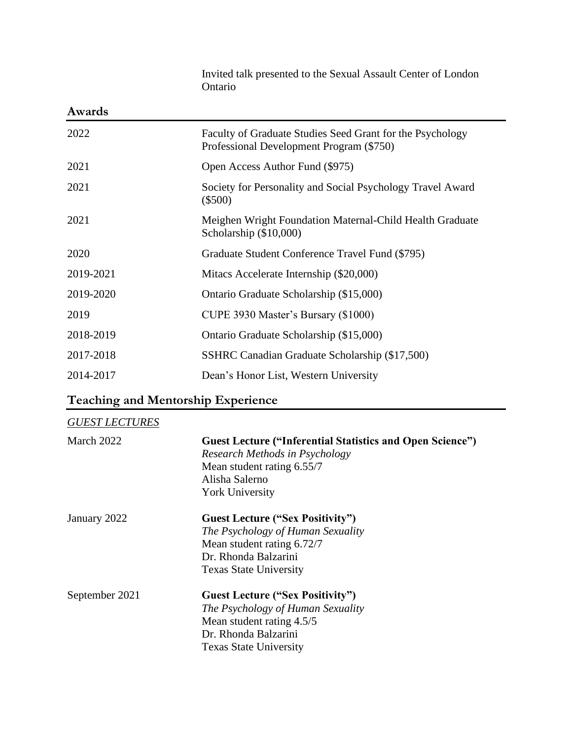| Awards    |                                                                                                       |
|-----------|-------------------------------------------------------------------------------------------------------|
| 2022      | Faculty of Graduate Studies Seed Grant for the Psychology<br>Professional Development Program (\$750) |
| 2021      | Open Access Author Fund (\$975)                                                                       |
| 2021      | Society for Personality and Social Psychology Travel Award<br>$(\$500)$                               |
| 2021      | Meighen Wright Foundation Maternal-Child Health Graduate<br>Scholarship (\$10,000)                    |
| 2020      | Graduate Student Conference Travel Fund (\$795)                                                       |
| 2019-2021 | Mitacs Accelerate Internship (\$20,000)                                                               |
| 2019-2020 | Ontario Graduate Scholarship (\$15,000)                                                               |
| 2019      | CUPE 3930 Master's Bursary (\$1000)                                                                   |
| 2018-2019 | Ontario Graduate Scholarship (\$15,000)                                                               |
| 2017-2018 | SSHRC Canadian Graduate Scholarship (\$17,500)                                                        |
| 2014-2017 | Dean's Honor List, Western University                                                                 |

### Invited talk presented to the Sexual Assault Center of London Ontario

# **Teaching and Mentorship Experience**

| <b>GUEST LECTURES</b> |                                                                                                                                                                              |
|-----------------------|------------------------------------------------------------------------------------------------------------------------------------------------------------------------------|
| March 2022            | <b>Guest Lecture ("Inferential Statistics and Open Science")</b><br>Research Methods in Psychology<br>Mean student rating 6.55/7<br>Alisha Salerno<br><b>York University</b> |
| January 2022          | <b>Guest Lecture ("Sex Positivity")</b><br>The Psychology of Human Sexuality<br>Mean student rating 6.72/7<br>Dr. Rhonda Balzarini<br><b>Texas State University</b>          |
| September 2021        | <b>Guest Lecture ("Sex Positivity")</b><br>The Psychology of Human Sexuality<br>Mean student rating 4.5/5<br>Dr. Rhonda Balzarini<br><b>Texas State University</b>           |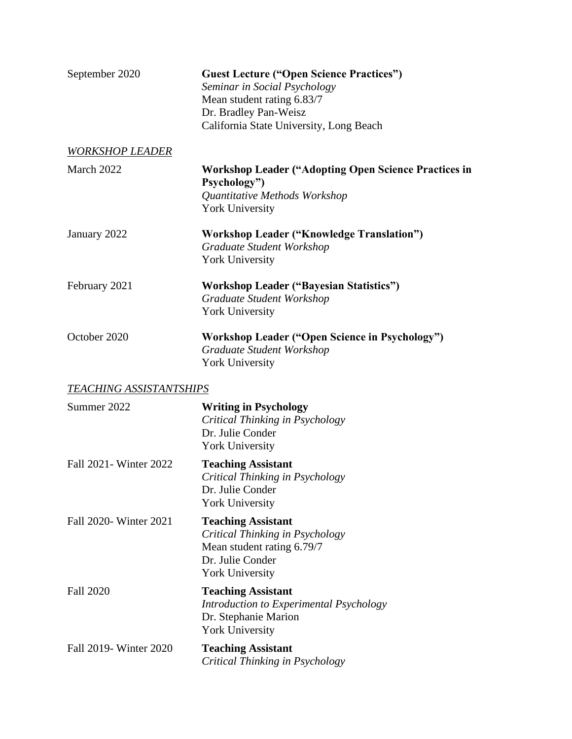| September 2020                 | <b>Guest Lecture ("Open Science Practices")</b><br>Seminar in Social Psychology<br>Mean student rating 6.83/7<br>Dr. Bradley Pan-Weisz<br>California State University, Long Beach |
|--------------------------------|-----------------------------------------------------------------------------------------------------------------------------------------------------------------------------------|
| <b>WORKSHOP LEADER</b>         |                                                                                                                                                                                   |
| March 2022                     | <b>Workshop Leader ("Adopting Open Science Practices in</b><br>Psychology")<br>Quantitative Methods Workshop<br><b>York University</b>                                            |
| January 2022                   | <b>Workshop Leader ("Knowledge Translation")</b><br>Graduate Student Workshop<br><b>York University</b>                                                                           |
| February 2021                  | <b>Workshop Leader ("Bayesian Statistics")</b><br>Graduate Student Workshop<br><b>York University</b>                                                                             |
| October 2020                   | <b>Workshop Leader ("Open Science in Psychology")</b><br>Graduate Student Workshop<br><b>York University</b>                                                                      |
| <b>TEACHING ASSISTANTSHIPS</b> |                                                                                                                                                                                   |
| Summer 2022                    | <b>Writing in Psychology</b><br>Critical Thinking in Psychology<br>Dr. Julie Conder<br><b>York University</b>                                                                     |
| Fall 2021 - Winter 2022        | <b>Teaching Assistant</b><br>Critical Thinking in Psychology<br>Dr. Julie Conder<br><b>York University</b>                                                                        |
| Fall 2020- Winter 2021         | <b>Teaching Assistant</b><br>Critical Thinking in Psychology<br>Mean student rating 6.79/7<br>Dr. Julie Conder<br><b>York University</b>                                          |
| <b>Fall 2020</b>               | <b>Teaching Assistant</b><br>Introduction to Experimental Psychology<br>Dr. Stephanie Marion<br><b>York University</b>                                                            |
| Fall 2019- Winter 2020         | <b>Teaching Assistant</b><br>Critical Thinking in Psychology                                                                                                                      |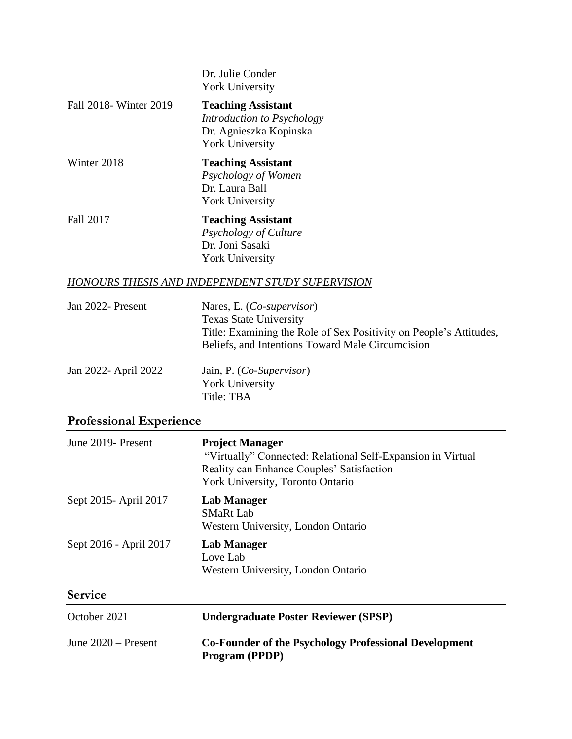|                         | Dr. Julie Conder<br><b>York University</b>                                                                  |
|-------------------------|-------------------------------------------------------------------------------------------------------------|
| Fall 2018 - Winter 2019 | <b>Teaching Assistant</b><br>Introduction to Psychology<br>Dr. Agnieszka Kopinska<br><b>York University</b> |
| Winter 2018             | <b>Teaching Assistant</b><br>Psychology of Women<br>Dr. Laura Ball<br><b>York University</b>                |
| Fall 2017               | <b>Teaching Assistant</b><br>Psychology of Culture<br>Dr. Joni Sasaki<br><b>York University</b>             |

### *HONOURS THESIS AND INDEPENDENT STUDY SUPERVISION*

| Jan 2022- Present    | Nares, E. ( <i>Co-supervisor</i> )<br><b>Texas State University</b><br>Title: Examining the Role of Sex Positivity on People's Attitudes,<br>Beliefs, and Intentions Toward Male Circumcision |
|----------------------|-----------------------------------------------------------------------------------------------------------------------------------------------------------------------------------------------|
| Jan 2022- April 2022 | Jain, P. ( <i>Co-Supervisor</i> )<br>York University<br>Title: TBA                                                                                                                            |

# **Professional Experience**

| June 2019- Present     | <b>Project Manager</b><br>"Virtually" Connected: Relational Self-Expansion in Virtual<br>Reality can Enhance Couples' Satisfaction<br>York University, Toronto Ontario |
|------------------------|------------------------------------------------------------------------------------------------------------------------------------------------------------------------|
| Sept 2015 - April 2017 | <b>Lab Manager</b><br><b>SMaRt Lab</b><br>Western University, London Ontario                                                                                           |
| Sept 2016 - April 2017 | <b>Lab Manager</b><br>Love Lab<br>Western University, London Ontario                                                                                                   |
| <b>Service</b>         |                                                                                                                                                                        |
| October 2021           | <b>Undergraduate Poster Reviewer (SPSP)</b>                                                                                                                            |
| June $2020$ – Present  | <b>Co-Founder of the Psychology Professional Development</b><br>Program (PPDP)                                                                                         |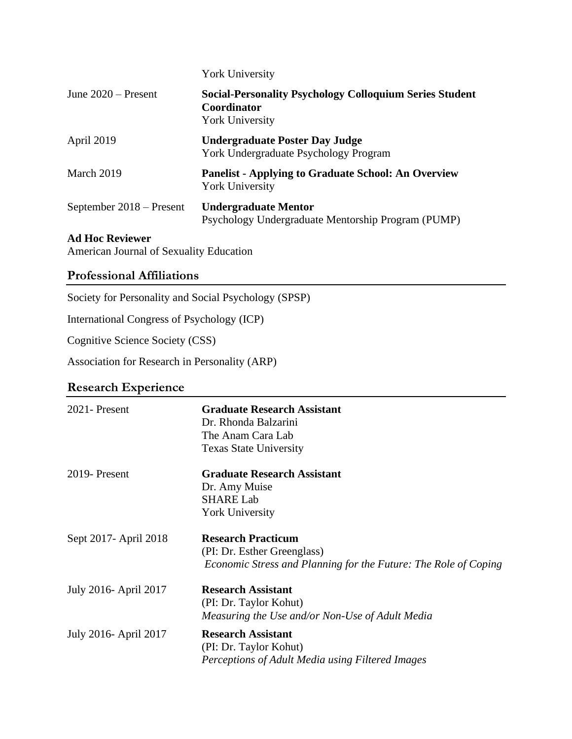|                          | <b>York University</b>                                                                                  |
|--------------------------|---------------------------------------------------------------------------------------------------------|
| June $2020$ – Present    | <b>Social-Personality Psychology Colloquium Series Student</b><br>Coordinator<br><b>York University</b> |
| April 2019               | <b>Undergraduate Poster Day Judge</b><br>York Undergraduate Psychology Program                          |
| March 2019               | <b>Panelist - Applying to Graduate School: An Overview</b><br><b>York University</b>                    |
| September 2018 – Present | <b>Undergraduate Mentor</b><br>Psychology Undergraduate Mentorship Program (PUMP)                       |

### **Ad Hoc Reviewer**

American Journal of Sexuality Education

### **Professional Affiliations**

Society for Personality and Social Psychology (SPSP)

International Congress of Psychology (ICP)

Cognitive Science Society (CSS)

Association for Research in Personality (ARP)

### **Research Experience**

| 2021 - Present         | <b>Graduate Research Assistant</b>                              |
|------------------------|-----------------------------------------------------------------|
|                        | Dr. Rhonda Balzarini                                            |
|                        | The Anam Cara Lab                                               |
|                        | <b>Texas State University</b>                                   |
| 2019-Present           | <b>Graduate Research Assistant</b>                              |
|                        | Dr. Amy Muise                                                   |
|                        | <b>SHARE Lab</b>                                                |
|                        | <b>York University</b>                                          |
| Sept 2017 - April 2018 | <b>Research Practicum</b>                                       |
|                        | (PI: Dr. Esther Greenglass)                                     |
|                        | Economic Stress and Planning for the Future: The Role of Coping |
| July 2016- April 2017  | <b>Research Assistant</b>                                       |
|                        | (PI: Dr. Taylor Kohut)                                          |
|                        | Measuring the Use and/or Non-Use of Adult Media                 |
| July 2016- April 2017  | <b>Research Assistant</b>                                       |
|                        | (PI: Dr. Taylor Kohut)                                          |
|                        | Perceptions of Adult Media using Filtered Images                |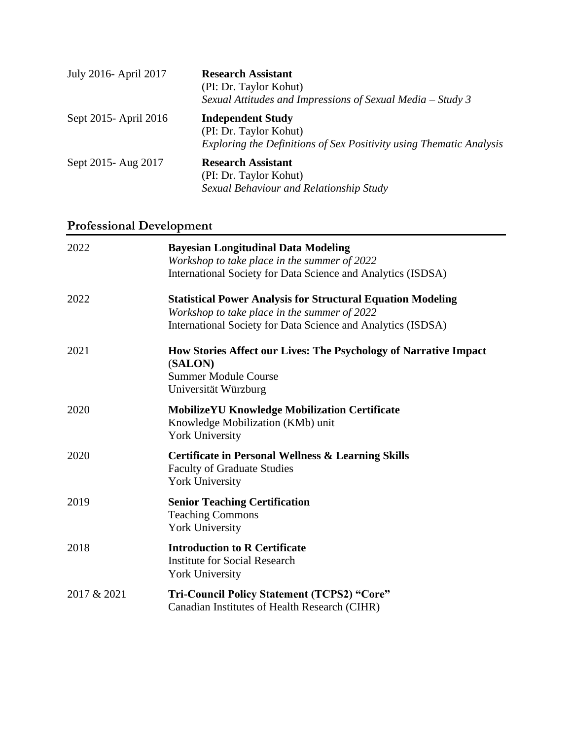| July 2016- April 2017  | <b>Research Assistant</b><br>(PI: Dr. Taylor Kohut)<br>Sexual Attitudes and Impressions of Sexual Media $-$ Study 3       |
|------------------------|---------------------------------------------------------------------------------------------------------------------------|
| Sept 2015 - April 2016 | <b>Independent Study</b><br>(PI: Dr. Taylor Kohut)<br>Exploring the Definitions of Sex Positivity using Thematic Analysis |
| Sept 2015 - Aug 2017   | <b>Research Assistant</b><br>(PI: Dr. Taylor Kohut)<br>Sexual Behaviour and Relationship Study                            |

# **Professional Development**

| 2022        | <b>Bayesian Longitudinal Data Modeling</b><br>Workshop to take place in the summer of 2022                                         |
|-------------|------------------------------------------------------------------------------------------------------------------------------------|
|             | International Society for Data Science and Analytics (ISDSA)                                                                       |
| 2022        | <b>Statistical Power Analysis for Structural Equation Modeling</b><br>Workshop to take place in the summer of 2022                 |
|             | International Society for Data Science and Analytics (ISDSA)                                                                       |
| 2021        | How Stories Affect our Lives: The Psychology of Narrative Impact<br>(SALON)<br><b>Summer Module Course</b><br>Universität Würzburg |
| 2020        | <b>MobilizeYU Knowledge Mobilization Certificate</b><br>Knowledge Mobilization (KMb) unit<br><b>York University</b>                |
| 2020        | <b>Certificate in Personal Wellness &amp; Learning Skills</b><br><b>Faculty of Graduate Studies</b><br><b>York University</b>      |
| 2019        | <b>Senior Teaching Certification</b><br><b>Teaching Commons</b><br><b>York University</b>                                          |
| 2018        | <b>Introduction to R Certificate</b><br><b>Institute for Social Research</b><br><b>York University</b>                             |
| 2017 & 2021 | Tri-Council Policy Statement (TCPS2) "Core"<br>Canadian Institutes of Health Research (CIHR)                                       |